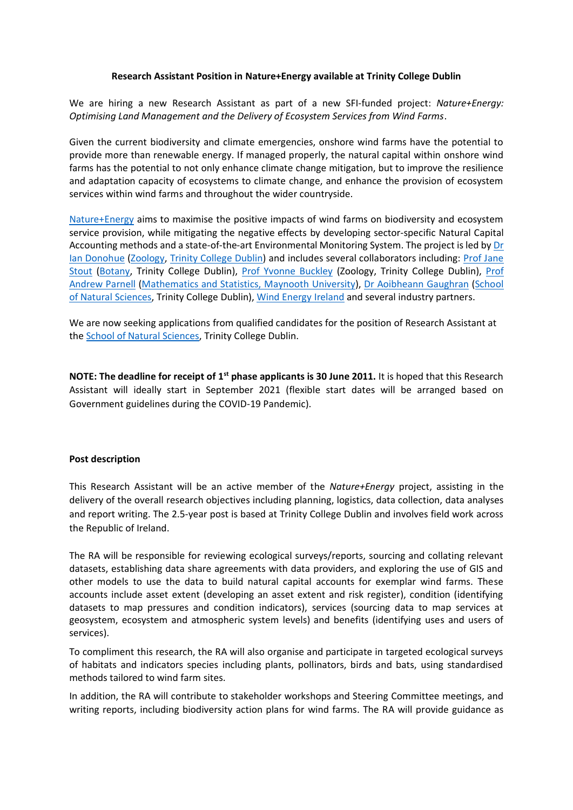## **Research Assistant Position in Nature+Energy available at Trinity College Dublin**

We are hiring a new Research Assistant as part of a new SFI-funded project: *Nature+Energy: Optimising Land Management and the Delivery of Ecosystem Services from Wind Farms*.

Given the current biodiversity and climate emergencies, onshore wind farms have the potential to provide more than renewable energy. If managed properly, the natural capital within onshore wind farms has the potential to not only enhance climate change mitigation, but to improve the resilience and adaptation capacity of ecosystems to climate change, and enhance the provision of ecosystem services within wind farms and throughout the wider countryside.

[Nature+Energy](https://naturalscience.tcd.ie/natureplus/index.php) aims to maximise the positive impacts of wind farms on biodiversity and ecosystem service provision, while mitigating the negative effects by developing sector-specific Natural Capital Accounting methods and a state-of-the-art Environmental Monitoring System. The project is led b[y Dr](https://www.tcd.ie/Zoology/research/groups/donohue/)  [Ian Donohue](https://www.tcd.ie/Zoology/research/groups/donohue/) [\(Zoology,](https://www.tcd.ie/Zoology/) [Trinity College](https://www.tcd.ie/) Dublin) and includes several collaborators including: [Prof Jane](https://www.tcd.ie/Botany/people/stoutj/)  [Stout](https://www.tcd.ie/Botany/people/stoutj/) [\(Botany,](https://www.tcd.ie/Botany/) Trinity College Dublin), [Prof Yvonne Buckley](https://www.tcd.ie/Zoology/people/buckleyy) (Zoology, Trinity College Dublin), [Prof](https://www.maynoothuniversity.ie/people/andrew-parnell)  [Andrew Parnell](https://www.maynoothuniversity.ie/people/andrew-parnell) [\(Mathematics and Statistics, Maynooth University\)](https://www.maynoothuniversity.ie/hamilton), [Dr Aoibheann Gaughran](https://www.tcd.ie/Zoology/research/groups/buckley/members/aoibheann-gaughran.php) [\(School](https://naturalscience.tcd.ie/)  [of Natural Sciences,](https://naturalscience.tcd.ie/) Trinity College Dublin), [Wind Energy Ireland](https://windenergyireland.com/) and several industry partners.

We are now seeking applications from qualified candidates for the position of Research Assistant at th[e School of Natural Sciences,](https://www.naturalscience.tcd.ie/) Trinity College Dublin.

**NOTE: The deadline for receipt of 1st phase applicants is 30 June 2011.** It is hoped that this Research Assistant will ideally start in September 2021 (flexible start dates will be arranged based on Government guidelines during the COVID-19 Pandemic).

## **Post description**

This Research Assistant will be an active member of the *Nature+Energy* project, assisting in the delivery of the overall research objectives including planning, logistics, data collection, data analyses and report writing. The 2.5-year post is based at Trinity College Dublin and involves field work across the Republic of Ireland.

The RA will be responsible for reviewing ecological surveys/reports, sourcing and collating relevant datasets, establishing data share agreements with data providers, and exploring the use of GIS and other models to use the data to build natural capital accounts for exemplar wind farms. These accounts include asset extent (developing an asset extent and risk register), condition (identifying datasets to map pressures and condition indicators), services (sourcing data to map services at geosystem, ecosystem and atmospheric system levels) and benefits (identifying uses and users of services).

To compliment this research, the RA will also organise and participate in targeted ecological surveys of habitats and indicators species including plants, pollinators, birds and bats, using standardised methods tailored to wind farm sites.

In addition, the RA will contribute to stakeholder workshops and Steering Committee meetings, and writing reports, including biodiversity action plans for wind farms. The RA will provide guidance as